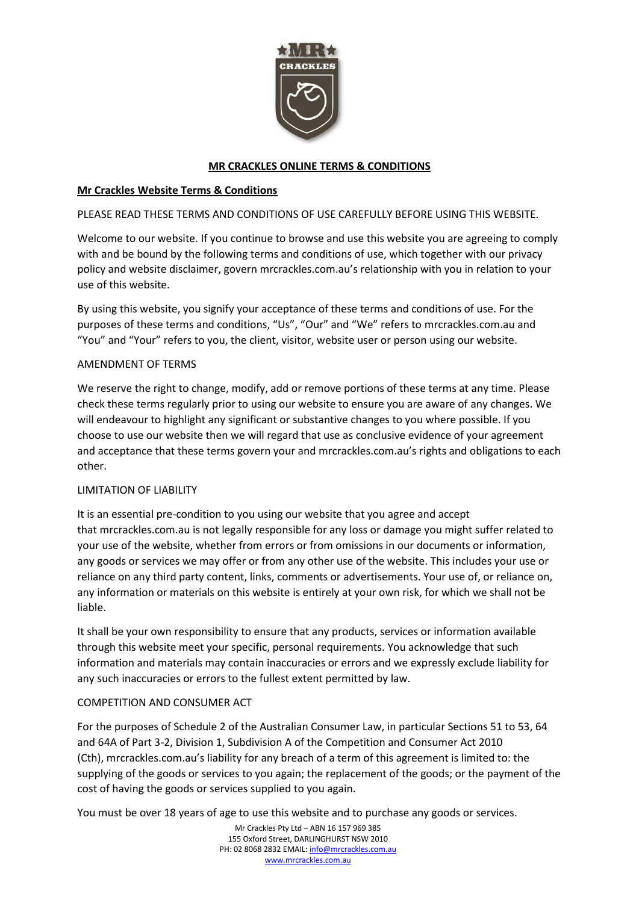

## **MR CRACKLES ONLINE TERMS & CONDITIONS**

## **Mr Crackles Website Terms & Conditions**

### PLEASE READ THESE TERMS AND CONDITIONS OF USE CAREFULLY BEFORE USING THIS WEBSITE.

Welcome to our website. If you continue to browse and use this website you are agreeing to comply with and be bound by the following terms and conditions of use, which together with our privacy policy and website disclaimer, govern mrcrackles.com.au's relationship with you in relation to your use of this website.

By using this website, you signify your acceptance of these terms and conditions of use. For the purposes of these terms and conditions, "Us", "Our" and "We" refers to mrcrackles.com.au and "You" and "Your" refers to you, the client, visitor, website user or person using our website.

#### AMENDMENT OF TERMS

We reserve the right to change, modify, add or remove portions of these terms at any time. Please check these terms regularly prior to using our website to ensure you are aware of any changes. We will endeavour to highlight any significant or substantive changes to you where possible. If you choose to use our website then we will regard that use as conclusive evidence of your agreement and acceptance that these terms govern your and mrcrackles.com.au's rights and obligations to each other.

#### LIMITATION OF LIABILITY

It is an essential pre-condition to you using our website that you agree and accept that mrcrackles.com.au is not legally responsible for any loss or damage you might suffer related to your use of the website, whether from errors or from omissions in our documents or information, any goods or services we may offer or from any other use of the website. This includes your use or reliance on any third party content, links, comments or advertisements. Your use of, or reliance on, any information or materials on this website is entirely at your own risk, for which we shall not be liable.

It shall be your own responsibility to ensure that any products, services or information available through this website meet your specific, personal requirements. You acknowledge that such information and materials may contain inaccuracies or errors and we expressly exclude liability for any such inaccuracies or errors to the fullest extent permitted by law.

#### COMPETITION AND CONSUMER ACT

For the purposes of Schedule 2 of the Australian Consumer Law, in particular Sections 51 to 53, 64 and 64A of Part 3-2, Division 1, Subdivision A of the Competition and Consumer Act 2010 (Cth), mrcrackles.com.au's liability for any breach of a term of this agreement is limited to: the supplying of the goods or services to you again; the replacement of the goods; or the payment of the cost of having the goods or services supplied to you again.

You must be over 18 years of age to use this website and to purchase any goods or services.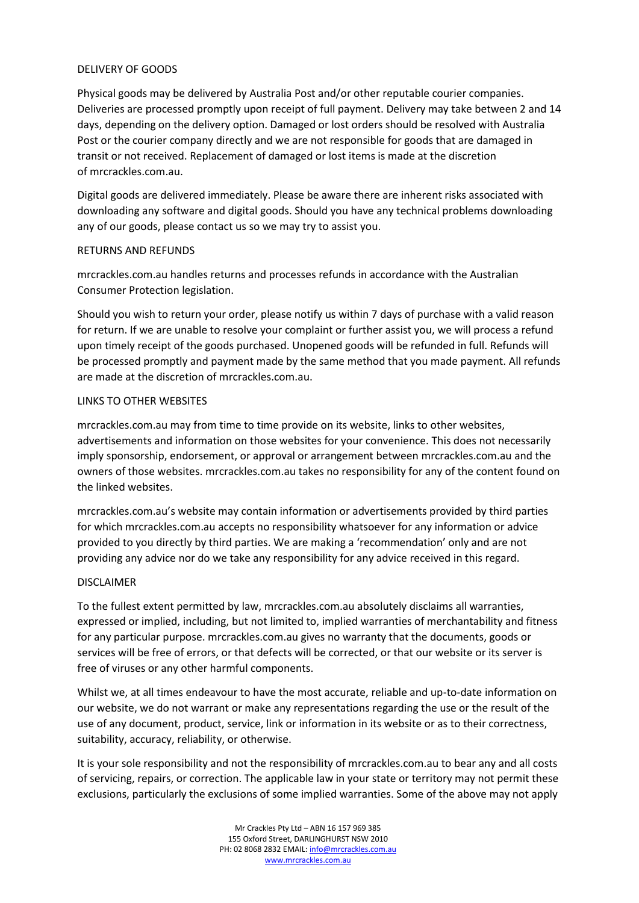### DELIVERY OF GOODS

Physical goods may be delivered by Australia Post and/or other reputable courier companies. Deliveries are processed promptly upon receipt of full payment. Delivery may take between 2 and 14 days, depending on the delivery option. Damaged or lost orders should be resolved with Australia Post or the courier company directly and we are not responsible for goods that are damaged in transit or not received. Replacement of damaged or lost items is made at the discretion of mrcrackles.com.au.

Digital goods are delivered immediately. Please be aware there are inherent risks associated with downloading any software and digital goods. Should you have any technical problems downloading any of our goods, please contact us so we may try to assist you.

### RETURNS AND REFUNDS

mrcrackles.com.au handles returns and processes refunds in accordance with the Australian Consumer Protection legislation.

Should you wish to return your order, please notify us within 7 days of purchase with a valid reason for return. If we are unable to resolve your complaint or further assist you, we will process a refund upon timely receipt of the goods purchased. Unopened goods will be refunded in full. Refunds will be processed promptly and payment made by the same method that you made payment. All refunds are made at the discretion of mrcrackles.com.au.

### LINKS TO OTHER WEBSITES

mrcrackles.com.au may from time to time provide on its website, links to other websites, advertisements and information on those websites for your convenience. This does not necessarily imply sponsorship, endorsement, or approval or arrangement between mrcrackles.com.au and the owners of those websites. mrcrackles.com.au takes no responsibility for any of the content found on the linked websites.

mrcrackles.com.au's website may contain information or advertisements provided by third parties for which mrcrackles.com.au accepts no responsibility whatsoever for any information or advice provided to you directly by third parties. We are making a 'recommendation' only and are not providing any advice nor do we take any responsibility for any advice received in this regard.

# DISCLAIMER

To the fullest extent permitted by law, mrcrackles.com.au absolutely disclaims all warranties, expressed or implied, including, but not limited to, implied warranties of merchantability and fitness for any particular purpose. mrcrackles.com.au gives no warranty that the documents, goods or services will be free of errors, or that defects will be corrected, or that our website or its server is free of viruses or any other harmful components.

Whilst we, at all times endeavour to have the most accurate, reliable and up-to-date information on our website, we do not warrant or make any representations regarding the use or the result of the use of any document, product, service, link or information in its website or as to their correctness, suitability, accuracy, reliability, or otherwise.

It is your sole responsibility and not the responsibility of mrcrackles.com.au to bear any and all costs of servicing, repairs, or correction. The applicable law in your state or territory may not permit these exclusions, particularly the exclusions of some implied warranties. Some of the above may not apply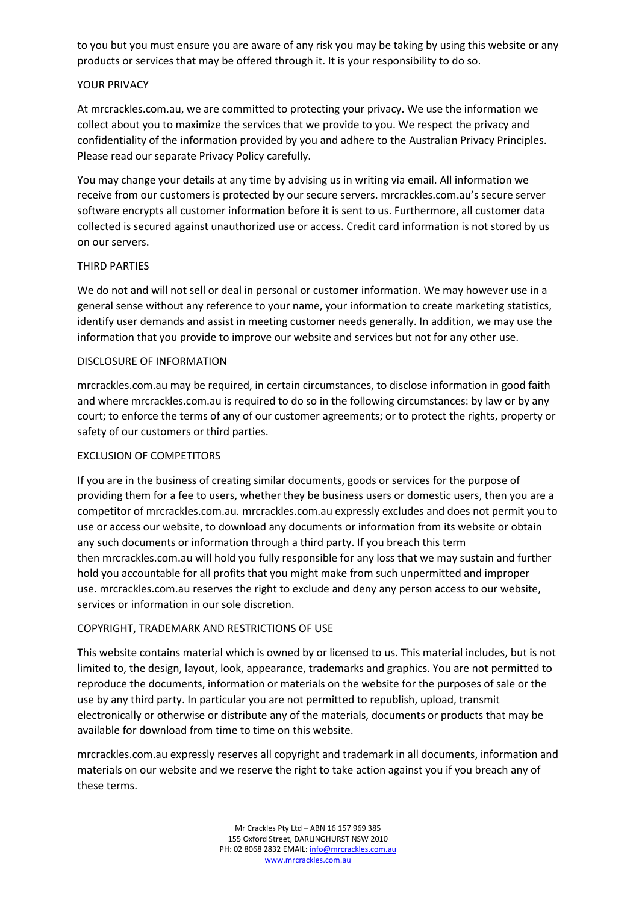to you but you must ensure you are aware of any risk you may be taking by using this website or any products or services that may be offered through it. It is your responsibility to do so.

### YOUR PRIVACY

At mrcrackles.com.au, we are committed to protecting your privacy. We use the information we collect about you to maximize the services that we provide to you. We respect the privacy and confidentiality of the information provided by you and adhere to the Australian Privacy Principles. Please read our separate Privacy Policy carefully.

You may change your details at any time by advising us in writing via email. All information we receive from our customers is protected by our secure servers. mrcrackles.com.au's secure server software encrypts all customer information before it is sent to us. Furthermore, all customer data collected is secured against unauthorized use or access. Credit card information is not stored by us on our servers.

### THIRD PARTIES

We do not and will not sell or deal in personal or customer information. We may however use in a general sense without any reference to your name, your information to create marketing statistics, identify user demands and assist in meeting customer needs generally. In addition, we may use the information that you provide to improve our website and services but not for any other use.

### DISCLOSURE OF INFORMATION

mrcrackles.com.au may be required, in certain circumstances, to disclose information in good faith and where mrcrackles.com.au is required to do so in the following circumstances: by law or by any court; to enforce the terms of any of our customer agreements; or to protect the rights, property or safety of our customers or third parties.

### EXCLUSION OF COMPETITORS

If you are in the business of creating similar documents, goods or services for the purpose of providing them for a fee to users, whether they be business users or domestic users, then you are a competitor of mrcrackles.com.au. mrcrackles.com.au expressly excludes and does not permit you to use or access our website, to download any documents or information from its website or obtain any such documents or information through a third party. If you breach this term then mrcrackles.com.au will hold you fully responsible for any loss that we may sustain and further hold you accountable for all profits that you might make from such unpermitted and improper use. mrcrackles.com.au reserves the right to exclude and deny any person access to our website, services or information in our sole discretion.

# COPYRIGHT, TRADEMARK AND RESTRICTIONS OF USE

This website contains material which is owned by or licensed to us. This material includes, but is not limited to, the design, layout, look, appearance, trademarks and graphics. You are not permitted to reproduce the documents, information or materials on the website for the purposes of sale or the use by any third party. In particular you are not permitted to republish, upload, transmit electronically or otherwise or distribute any of the materials, documents or products that may be available for download from time to time on this website.

mrcrackles.com.au expressly reserves all copyright and trademark in all documents, information and materials on our website and we reserve the right to take action against you if you breach any of these terms.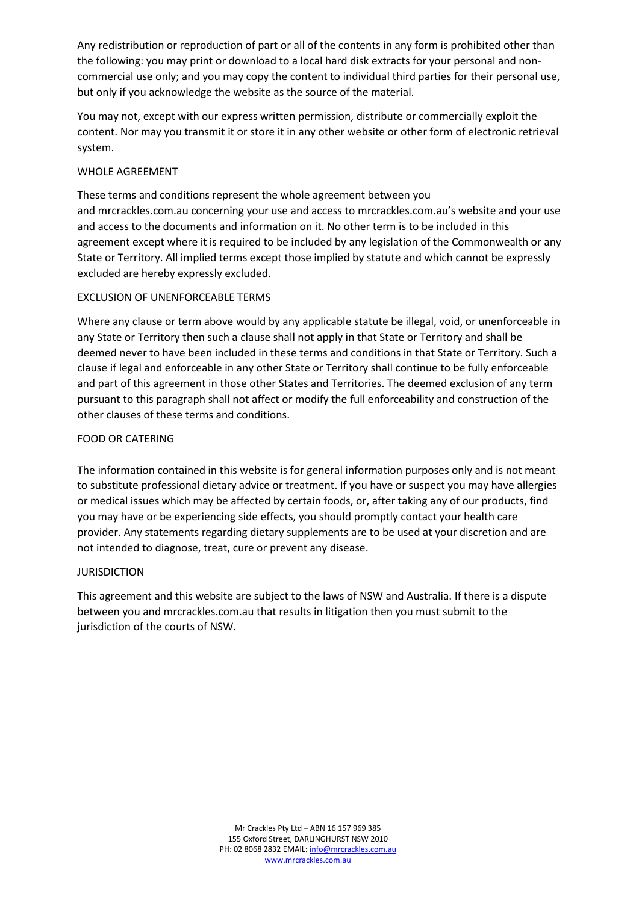Any redistribution or reproduction of part or all of the contents in any form is prohibited other than the following: you may print or download to a local hard disk extracts for your personal and noncommercial use only; and you may copy the content to individual third parties for their personal use, but only if you acknowledge the website as the source of the material.

You may not, except with our express written permission, distribute or commercially exploit the content. Nor may you transmit it or store it in any other website or other form of electronic retrieval system.

## WHOLE AGREEMENT

These terms and conditions represent the whole agreement between you and mrcrackles.com.au concerning your use and access to mrcrackles.com.au's website and your use and access to the documents and information on it. No other term is to be included in this agreement except where it is required to be included by any legislation of the Commonwealth or any State or Territory. All implied terms except those implied by statute and which cannot be expressly excluded are hereby expressly excluded.

# EXCLUSION OF UNENFORCEABLE TERMS

Where any clause or term above would by any applicable statute be illegal, void, or unenforceable in any State or Territory then such a clause shall not apply in that State or Territory and shall be deemed never to have been included in these terms and conditions in that State or Territory. Such a clause if legal and enforceable in any other State or Territory shall continue to be fully enforceable and part of this agreement in those other States and Territories. The deemed exclusion of any term pursuant to this paragraph shall not affect or modify the full enforceability and construction of the other clauses of these terms and conditions.

### FOOD OR CATERING

The information contained in this website is for general information purposes only and is not meant to substitute professional dietary advice or treatment. If you have or suspect you may have allergies or medical issues which may be affected by certain foods, or, after taking any of our products, find you may have or be experiencing side effects, you should promptly contact your health care provider. Any statements regarding dietary supplements are to be used at your discretion and are not intended to diagnose, treat, cure or prevent any disease.

#### JURISDICTION

This agreement and this website are subject to the laws of NSW and Australia. If there is a dispute between you and mrcrackles.com.au that results in litigation then you must submit to the jurisdiction of the courts of NSW.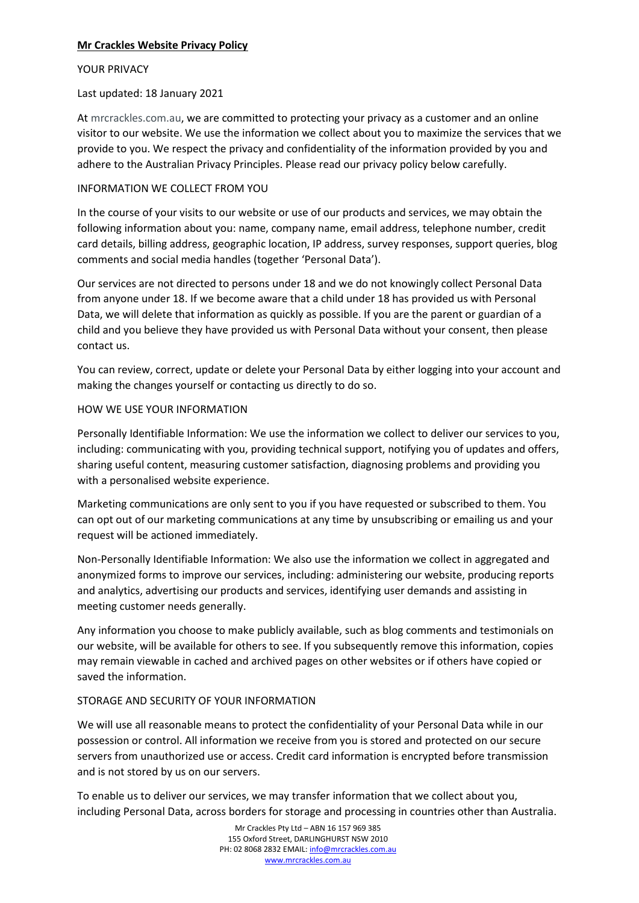# **Mr Crackles Website Privacy Policy**

#### YOUR PRIVACY

#### Last updated: 18 January 2021

At mrcrackles.com.au, we are committed to protecting your privacy as a customer and an online visitor to our website. We use the information we collect about you to maximize the services that we provide to you. We respect the privacy and confidentiality of the information provided by you and adhere to the Australian Privacy Principles. Please read our privacy policy below carefully.

#### INFORMATION WE COLLECT FROM YOU

In the course of your visits to our website or use of our products and services, we may obtain the following information about you: name, company name, email address, telephone number, credit card details, billing address, geographic location, IP address, survey responses, support queries, blog comments and social media handles (together 'Personal Data').

Our services are not directed to persons under 18 and we do not knowingly collect Personal Data from anyone under 18. If we become aware that a child under 18 has provided us with Personal Data, we will delete that information as quickly as possible. If you are the parent or guardian of a child and you believe they have provided us with Personal Data without your consent, then please contact us.

You can review, correct, update or delete your Personal Data by either logging into your account and making the changes yourself or contacting us directly to do so.

#### HOW WE USE YOUR INFORMATION

Personally Identifiable Information: We use the information we collect to deliver our services to you, including: communicating with you, providing technical support, notifying you of updates and offers, sharing useful content, measuring customer satisfaction, diagnosing problems and providing you with a personalised website experience.

Marketing communications are only sent to you if you have requested or subscribed to them. You can opt out of our marketing communications at any time by unsubscribing or emailing us and your request will be actioned immediately.

Non-Personally Identifiable Information: We also use the information we collect in aggregated and anonymized forms to improve our services, including: administering our website, producing reports and analytics, advertising our products and services, identifying user demands and assisting in meeting customer needs generally.

Any information you choose to make publicly available, such as blog comments and testimonials on our website, will be available for others to see. If you subsequently remove this information, copies may remain viewable in cached and archived pages on other websites or if others have copied or saved the information.

#### STORAGE AND SECURITY OF YOUR INFORMATION

We will use all reasonable means to protect the confidentiality of your Personal Data while in our possession or control. All information we receive from you is stored and protected on our secure servers from unauthorized use or access. Credit card information is encrypted before transmission and is not stored by us on our servers.

To enable us to deliver our services, we may transfer information that we collect about you, including Personal Data, across borders for storage and processing in countries other than Australia.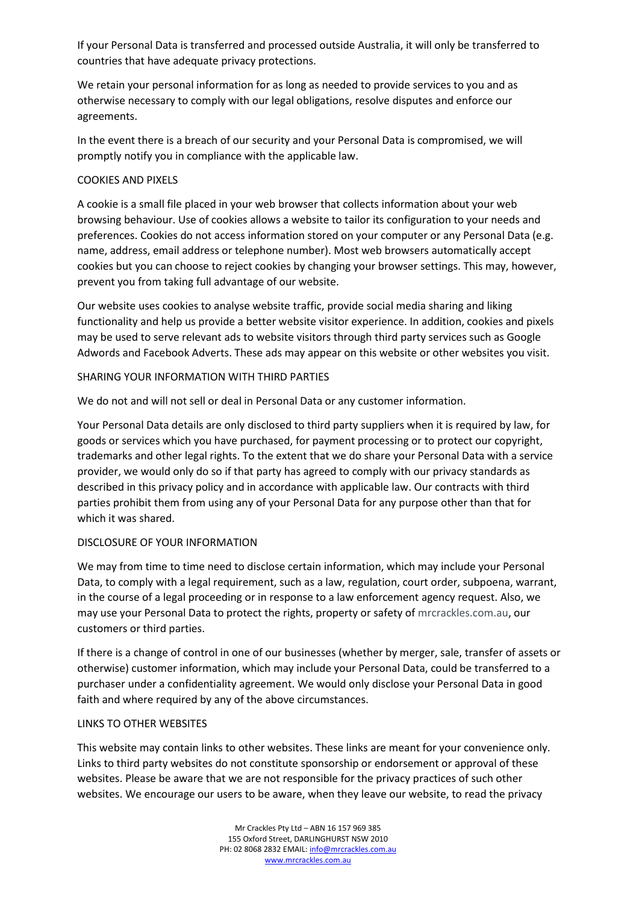If your Personal Data is transferred and processed outside Australia, it will only be transferred to countries that have adequate privacy protections.

We retain your personal information for as long as needed to provide services to you and as otherwise necessary to comply with our legal obligations, resolve disputes and enforce our agreements.

In the event there is a breach of our security and your Personal Data is compromised, we will promptly notify you in compliance with the applicable law.

# COOKIES AND PIXELS

A cookie is a small file placed in your web browser that collects information about your web browsing behaviour. Use of cookies allows a website to tailor its configuration to your needs and preferences. Cookies do not access information stored on your computer or any Personal Data (e.g. name, address, email address or telephone number). Most web browsers automatically accept cookies but you can choose to reject cookies by changing your browser settings. This may, however, prevent you from taking full advantage of our website.

Our website uses cookies to analyse website traffic, provide social media sharing and liking functionality and help us provide a better website visitor experience. In addition, cookies and pixels may be used to serve relevant ads to website visitors through third party services such as Google Adwords and Facebook Adverts. These ads may appear on this website or other websites you visit.

### SHARING YOUR INFORMATION WITH THIRD PARTIES

We do not and will not sell or deal in Personal Data or any customer information.

Your Personal Data details are only disclosed to third party suppliers when it is required by law, for goods or services which you have purchased, for payment processing or to protect our copyright, trademarks and other legal rights. To the extent that we do share your Personal Data with a service provider, we would only do so if that party has agreed to comply with our privacy standards as described in this privacy policy and in accordance with applicable law. Our contracts with third parties prohibit them from using any of your Personal Data for any purpose other than that for which it was shared.

#### DISCLOSURE OF YOUR INFORMATION

We may from time to time need to disclose certain information, which may include your Personal Data, to comply with a legal requirement, such as a law, regulation, court order, subpoena, warrant, in the course of a legal proceeding or in response to a law enforcement agency request. Also, we may use your Personal Data to protect the rights, property or safety of mrcrackles.com.au, our customers or third parties.

If there is a change of control in one of our businesses (whether by merger, sale, transfer of assets or otherwise) customer information, which may include your Personal Data, could be transferred to a purchaser under a confidentiality agreement. We would only disclose your Personal Data in good faith and where required by any of the above circumstances.

#### LINKS TO OTHER WEBSITES

This website may contain links to other websites. These links are meant for your convenience only. Links to third party websites do not constitute sponsorship or endorsement or approval of these websites. Please be aware that we are not responsible for the privacy practices of such other websites. We encourage our users to be aware, when they leave our website, to read the privacy